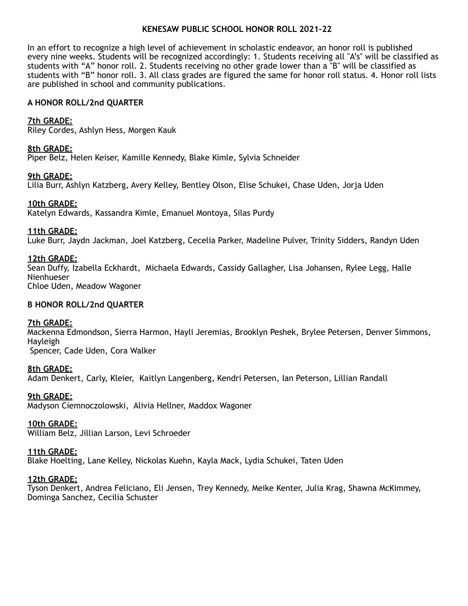# **KENESAW PUBLIC SCHOOL HONOR ROLL 2021-22**

In an effort to recognize a high level of achievement in scholastic endeavor, an honor roll is published every nine weeks. Students will be recognized accordingly: 1. Students receiving all "A's" will be classified as students with "A" honor roll. 2. Students receiving no other grade lower than a "B" will be classified as students with "B" honor roll. 3. All class grades are figured the same for honor roll status. 4. Honor roll lists are published in school and community publications.

# **A HONOR ROLL/2nd QUARTER**

# **7th GRADE:**

Riley Cordes, Ashlyn Hess, Morgen Kauk

# **8th GRADE:**

Piper Belz, Helen Keiser, Kamille Kennedy, Blake Kimle, Sylvia Schneider

# **9th GRADE:**

Lilia Burr, Ashlyn Katzberg, Avery Kelley, Bentley Olson, Elise Schukei, Chase Uden, Jorja Uden

# **10th GRADE:**

Katelyn Edwards, Kassandra Kimle, Emanuel Montoya, Silas Purdy

# **11th GRADE:**

Luke Burr, Jaydn Jackman, Joel Katzberg, Cecelia Parker, Madeline Pulver, Trinity Sidders, Randyn Uden

# **12th GRADE:**

Sean Duffy, Izabella Eckhardt, Michaela Edwards, Cassidy Gallagher, Lisa Johansen, Rylee Legg, Halle Nienhueser Chloe Uden, Meadow Wagoner

## **B HONOR ROLL/2nd QUARTER**

## **7th GRADE:**

Mackenna Edmondson, Sierra Harmon, Hayli Jeremias, Brooklyn Peshek, Brylee Petersen, Denver Simmons, Hayleigh Spencer, Cade Uden, Cora Walker

## **8th GRADE:**

Adam Denkert, Carly, Kleier, Kaitlyn Langenberg, Kendri Petersen, Ian Peterson, Lillian Randall

# **9th GRADE:**

Madyson Ciemnoczolowski, Alivia Hellner, Maddox Wagoner

## **10th GRADE:**

William Belz, Jillian Larson, Levi Schroeder

## **11th GRADE:**

Blake Hoelting, Lane Kelley, Nickolas Kuehn, Kayla Mack, Lydia Schukei, Taten Uden

## **12th GRADE:**

Tyson Denkert, Andrea Feliciano, Eli Jensen, Trey Kennedy, Meike Kenter, Julia Krag, Shawna McKimmey, Dominga Sanchez, Cecilia Schuster